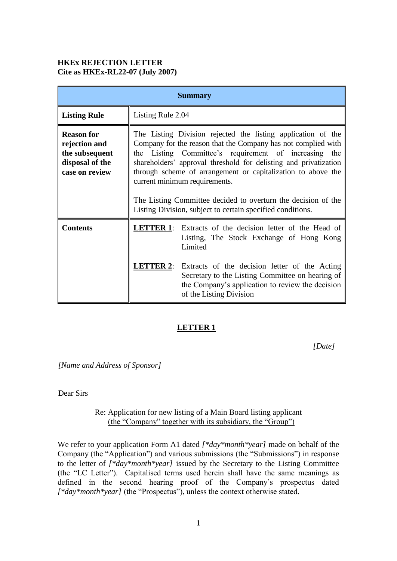# **HKEx REJECTION LETTER Cite as HKEx-RL22-07 (July 2007)**

| <b>Summary</b>                                                                            |                                                                                                                                                                                                                                                                                                                                                                                                                                                                                            |
|-------------------------------------------------------------------------------------------|--------------------------------------------------------------------------------------------------------------------------------------------------------------------------------------------------------------------------------------------------------------------------------------------------------------------------------------------------------------------------------------------------------------------------------------------------------------------------------------------|
| <b>Listing Rule</b>                                                                       | Listing Rule 2.04                                                                                                                                                                                                                                                                                                                                                                                                                                                                          |
| <b>Reason for</b><br>rejection and<br>the subsequent<br>disposal of the<br>case on review | The Listing Division rejected the listing application of the<br>Company for the reason that the Company has not complied with<br>the Listing Committee's requirement of increasing the<br>shareholders' approval threshold for delisting and privatization<br>through scheme of arrangement or capitalization to above the<br>current minimum requirements.<br>The Listing Committee decided to overturn the decision of the<br>Listing Division, subject to certain specified conditions. |
| <b>Contents</b>                                                                           | <b>LETTER 1:</b><br>Extracts of the decision letter of the Head of<br>Listing, The Stock Exchange of Hong Kong<br>Limited<br><b>LETTER 2:</b> Extracts of the decision letter of the Acting<br>Secretary to the Listing Committee on hearing of<br>the Company's application to review the decision<br>of the Listing Division                                                                                                                                                             |

# **LETTER 1**

*[Date]*

*[Name and Address of Sponsor]*

Dear Sirs

Re: Application for new listing of a Main Board listing applicant (the "Company" together with its subsidiary, the "Group")

We refer to your application Form A1 dated *[\*day\*month\*year]* made on behalf of the Company (the "Application") and various submissions (the "Submissions") in response to the letter of *[\*day\*month\*year]* issued by the Secretary to the Listing Committee (the "LC Letter"). Capitalised terms used herein shall have the same meanings as defined in the second hearing proof of the Company's prospectus dated *[\*day\*month\*year]* (the "Prospectus"), unless the context otherwise stated.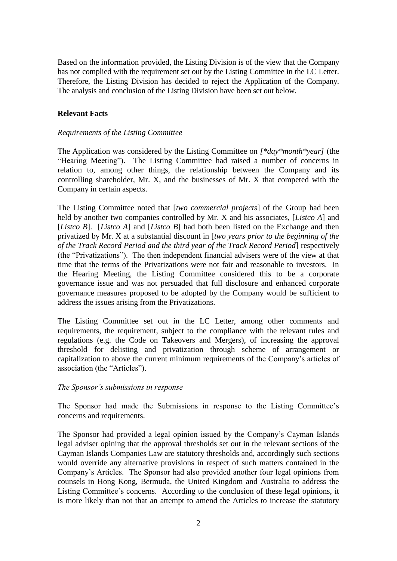Based on the information provided, the Listing Division is of the view that the Company has not complied with the requirement set out by the Listing Committee in the LC Letter. Therefore, the Listing Division has decided to reject the Application of the Company. The analysis and conclusion of the Listing Division have been set out below.

#### **Relevant Facts**

#### *Requirements of the Listing Committee*

The Application was considered by the Listing Committee on *[\*day\*month\*year]* (the "Hearing Meeting"). The Listing Committee had raised a number of concerns in relation to, among other things, the relationship between the Company and its controlling shareholder, Mr. X, and the businesses of Mr. X that competed with the Company in certain aspects.

The Listing Committee noted that [*two commercial projects*] of the Group had been held by another two companies controlled by Mr. X and his associates, [*Listco A*] and [*Listco B*]. [*Listco A*] and [*Listco B*] had both been listed on the Exchange and then privatized by Mr. X at a substantial discount in [*two years prior to the beginning of the of the Track Record Period and the third year of the Track Record Period*] respectively (the "Privatizations"). The then independent financial advisers were of the view at that time that the terms of the Privatizations were not fair and reasonable to investors. In the Hearing Meeting, the Listing Committee considered this to be a corporate governance issue and was not persuaded that full disclosure and enhanced corporate governance measures proposed to be adopted by the Company would be sufficient to address the issues arising from the Privatizations.

The Listing Committee set out in the LC Letter, among other comments and requirements, the requirement, subject to the compliance with the relevant rules and regulations (e.g. the Code on Takeovers and Mergers), of increasing the approval threshold for delisting and privatization through scheme of arrangement or capitalization to above the current minimum requirements of the Company's articles of association (the "Articles").

#### *The Sponsor's submissions in response*

The Sponsor had made the Submissions in response to the Listing Committee's concerns and requirements.

The Sponsor had provided a legal opinion issued by the Company's Cayman Islands legal adviser opining that the approval thresholds set out in the relevant sections of the Cayman Islands Companies Law are statutory thresholds and, accordingly such sections would override any alternative provisions in respect of such matters contained in the Company's Articles. The Sponsor had also provided another four legal opinions from counsels in Hong Kong, Bermuda, the United Kingdom and Australia to address the Listing Committee's concerns. According to the conclusion of these legal opinions, it is more likely than not that an attempt to amend the Articles to increase the statutory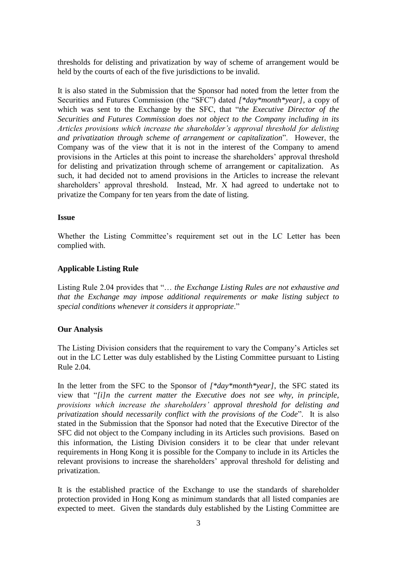thresholds for delisting and privatization by way of scheme of arrangement would be held by the courts of each of the five jurisdictions to be invalid.

It is also stated in the Submission that the Sponsor had noted from the letter from the Securities and Futures Commission (the "SFC") dated *[\*day\*month\*year]*, a copy of which was sent to the Exchange by the SFC, that "*the Executive Director of the Securities and Futures Commission does not object to the Company including in its Articles provisions which increase the shareholder's approval threshold for delisting and privatization through scheme of arrangement or capitalization*". However, the Company was of the view that it is not in the interest of the Company to amend provisions in the Articles at this point to increase the shareholders' approval threshold for delisting and privatization through scheme of arrangement or capitalization. As such, it had decided not to amend provisions in the Articles to increase the relevant shareholders' approval threshold. Instead, Mr. X had agreed to undertake not to privatize the Company for ten years from the date of listing.

#### **Issue**

Whether the Listing Committee's requirement set out in the LC Letter has been complied with.

### **Applicable Listing Rule**

Listing Rule 2.04 provides that "… *the Exchange Listing Rules are not exhaustive and that the Exchange may impose additional requirements or make listing subject to special conditions whenever it considers it appropriate*."

# **Our Analysis**

The Listing Division considers that the requirement to vary the Company's Articles set out in the LC Letter was duly established by the Listing Committee pursuant to Listing Rule 2.04.

In the letter from the SFC to the Sponsor of *[\*day\*month\*year]*, the SFC stated its view that "*[i]n the current matter the Executive does not see why, in principle, provisions which increase the shareholders' approval threshold for delisting and privatization should necessarily conflict with the provisions of the Code*". It is also stated in the Submission that the Sponsor had noted that the Executive Director of the SFC did not object to the Company including in its Articles such provisions. Based on this information, the Listing Division considers it to be clear that under relevant requirements in Hong Kong it is possible for the Company to include in its Articles the relevant provisions to increase the shareholders' approval threshold for delisting and privatization.

It is the established practice of the Exchange to use the standards of shareholder protection provided in Hong Kong as minimum standards that all listed companies are expected to meet. Given the standards duly established by the Listing Committee are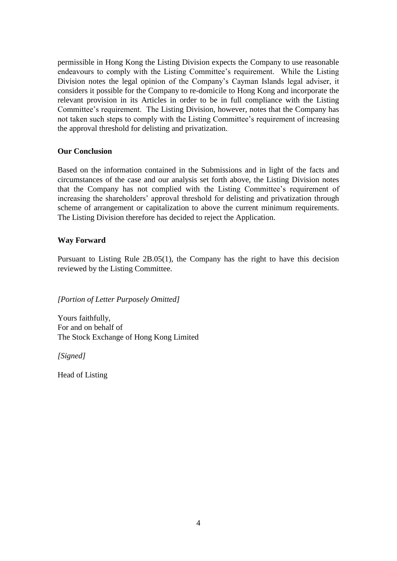permissible in Hong Kong the Listing Division expects the Company to use reasonable endeavours to comply with the Listing Committee's requirement. While the Listing Division notes the legal opinion of the Company's Cayman Islands legal adviser, it considers it possible for the Company to re-domicile to Hong Kong and incorporate the relevant provision in its Articles in order to be in full compliance with the Listing Committee's requirement. The Listing Division, however, notes that the Company has not taken such steps to comply with the Listing Committee's requirement of increasing the approval threshold for delisting and privatization.

# **Our Conclusion**

Based on the information contained in the Submissions and in light of the facts and circumstances of the case and our analysis set forth above, the Listing Division notes that the Company has not complied with the Listing Committee's requirement of increasing the shareholders' approval threshold for delisting and privatization through scheme of arrangement or capitalization to above the current minimum requirements. The Listing Division therefore has decided to reject the Application.

# **Way Forward**

Pursuant to Listing Rule 2B.05(1), the Company has the right to have this decision reviewed by the Listing Committee.

*[Portion of Letter Purposely Omitted]* 

Yours faithfully, For and on behalf of The Stock Exchange of Hong Kong Limited

*[Signed]*

Head of Listing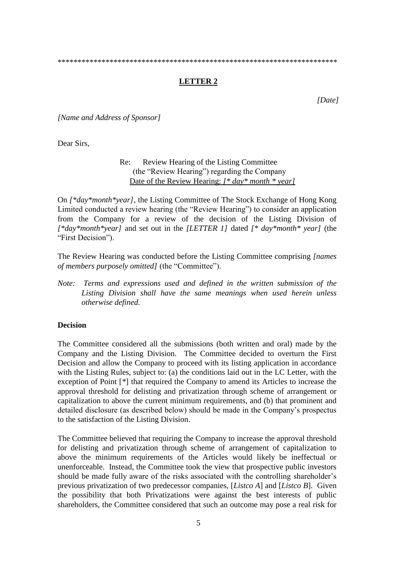\*\*\*\*\*\*\*\*\*\*\*\*\*\*\*\*\*\*\*\*\*\*\*\*\*\*\*\*\*\*\*\*\*\*\*\*\*\*\*\*\*\*\*\*\*\*\*\*\*\*\*\*\*\*\*\*\*\*\*\*\*\*\*\*\*\*\*\*\*\*

# **LETTER 2**

*[Date]*

*[Name and Address of Sponsor]*

Dear Sirs,

Re: Review Hearing of the Listing Committee (the "Review Hearing") regarding the Company Date of the Review Hearing: *[\* day\* month \* year]* 

On *[\*day\*month\*year]*, the Listing Committee of The Stock Exchange of Hong Kong Limited conducted a review hearing (the "Review Hearing") to consider an application from the Company for a review of the decision of the Listing Division of *[\*day\*month\*year]* and set out in the *[LETTER 1]* dated *[\* day\*month\* year]* (the "First Decision").

The Review Hearing was conducted before the Listing Committee comprising *[names of members purposely omitted]* (the "Committee").

*Note: Terms and expressions used and defined in the written submission of the Listing Division shall have the same meanings when used herein unless otherwise defined.*

#### **Decision**

The Committee considered all the submissions (both written and oral) made by the Company and the Listing Division. The Committee decided to overturn the First Decision and allow the Company to proceed with its listing application in accordance with the Listing Rules, subject to: (a) the conditions laid out in the LC Letter, with the exception of Point [*\**] that required the Company to amend its Articles to increase the approval threshold for delisting and privatization through scheme of arrangement or capitalization to above the current minimum requirements, and (b) that prominent and detailed disclosure (as described below) should be made in the Company's prospectus to the satisfaction of the Listing Division.

The Committee believed that requiring the Company to increase the approval threshold for delisting and privatization through scheme of arrangement of capitalization to above the minimum requirements of the Articles would likely be ineffectual or unenforceable. Instead, the Committee took the view that prospective public investors should be made fully aware of the risks associated with the controlling shareholder's previous privatization of two predecessor companies, [*Listco A*] and [*Listco B*]. Given the possibility that both Privatizations were against the best interests of public shareholders, the Committee considered that such an outcome may pose a real risk for